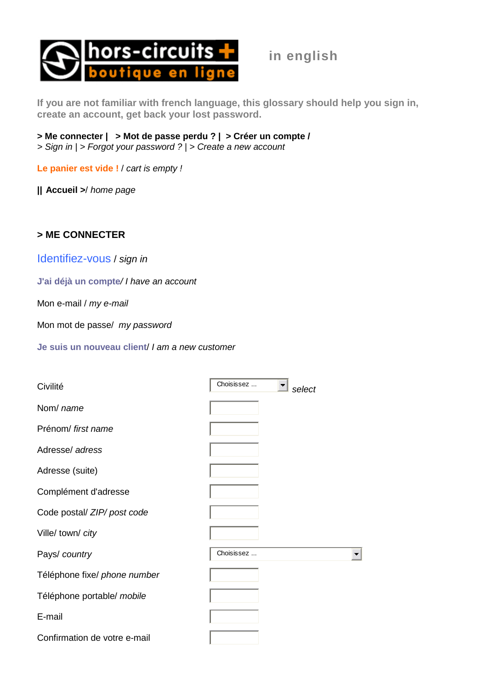

**in english** 

**If you are not familiar with french language, this glossary should help you sign in, create an account, get back your lost password.** 

**> Me connecter | > Mot de passe perdu ? | > Créer un compte /**  > Sign in | > Forgot your password ? | > Create a new account

**Le panier est vide !** / cart is empty !

**| | Accueil >**/ home page

## **> ME CONNECTER**

Identifiez-vous / sign in

**J'ai déjà un compte**/ I have an account

Mon e-mail / my e-mail

Mon mot de passe/ my password

**Je suis un nouveau client**/ I am a new customer

| Civilité                     | Choisissez<br>select |
|------------------------------|----------------------|
| Nom/ name                    |                      |
| Prénom/ first name           |                      |
| Adresse/ adress              |                      |
| Adresse (suite)              |                      |
| Complément d'adresse         |                      |
| Code postal/ ZIP/ post code  |                      |
| Ville/ town/ city            |                      |
| Pays/ country                | Choisissez           |
| Téléphone fixe/ phone number |                      |
| Téléphone portable/ mobile   |                      |
| E-mail                       |                      |
| Confirmation de votre e-mail |                      |